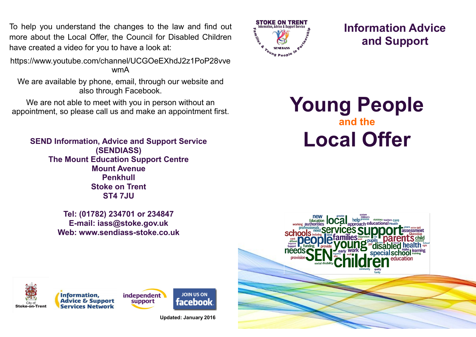To help you understand the changes to the law and find out more about the Local Offer, the Council for Disabled Children have created a video for you to have a look at:

https://www.youtube.com/channel/UCGOeEXhdJ2z1PoP28vve wmA

We are available by phone, email, through our website and also through Facebook.

We are not able to meet with you in person without an We are not able to meet with you in person without an **Young People** appointment, so please call us and make an appointment first.

**SEND Information, Advice and Support Service (SENDIASS) The Mount Education Support Centre Mount Avenue Penkhull Stoke on Trent ST4 7JU**

> **Tel: (01782) 234701 or 234847 E-mail: iass@stoke.gov.uk Web: www.sendiass-stoke.co.uk**



**Information Advice and Support**

**and the Local Offer**









**Updated: January 2016**